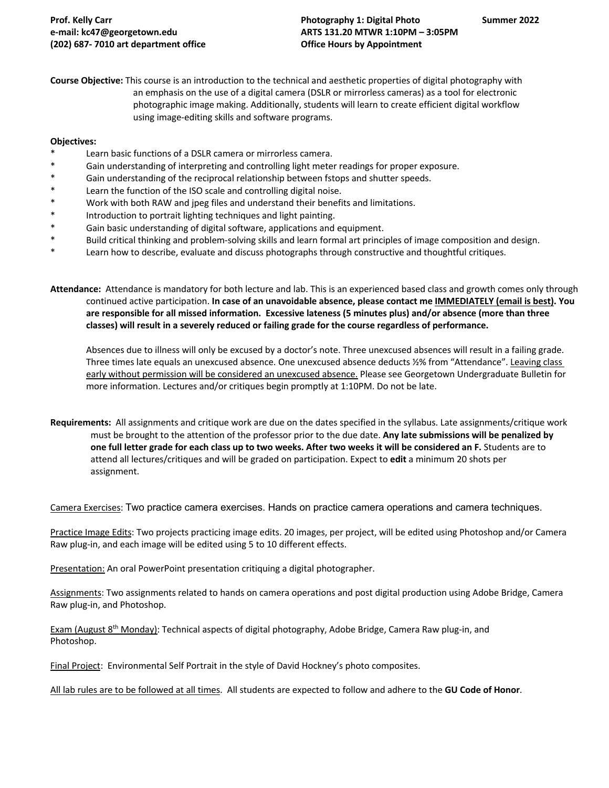**Course Objective:** This course is an introduction to the technical and aesthetic properties of digital photography with an emphasis on the use of a digital camera (DSLR or mirrorless cameras) as a tool for electronic photographic image making. Additionally, students will learn to create efficient digital workflow using image-editing skills and software programs.

### **Objectives:**

- Learn basic functions of a DSLR camera or mirrorless camera.
- \* Gain understanding of interpreting and controlling light meter readings for proper exposure.
- \* Gain understanding of the reciprocal relationship between fstops and shutter speeds.
- Learn the function of the ISO scale and controlling digital noise.
- \* Work with both RAW and jpeg files and understand their benefits and limitations.
- \* Introduction to portrait lighting techniques and light painting.
- \* Gain basic understanding of digital software, applications and equipment.
- \* Build critical thinking and problem-solving skills and learn formal art principles of image composition and design.
- Learn how to describe, evaluate and discuss photographs through constructive and thoughtful critiques.

**Attendance:** Attendance is mandatory for both lecture and lab. This is an experienced based class and growth comes only through continued active participation. **In case of an unavoidable absence, please contact me IMMEDIATELY (email is best). You are responsible for all missed information. Excessive lateness (5 minutes plus) and/or absence (more than three classes) will result in a severely reduced or failing grade for the course regardless of performance.** 

Absences due to illness will only be excused by a doctor's note. Three unexcused absences will result in a failing grade. Three times late equals an unexcused absence. One unexcused absence deducts ½% from "Attendance". Leaving class early without permission will be considered an unexcused absence. Please see Georgetown Undergraduate Bulletin for more information. Lectures and/or critiques begin promptly at 1:10PM. Do not be late.

**Requirements:** All assignments and critique work are due on the dates specified in the syllabus. Late assignments/critique work must be brought to the attention of the professor prior to the due date. **Any late submissions will be penalized by one full letter grade for each class up to two weeks. After two weeks it will be considered an F.** Students are to attend all lectures/critiques and will be graded on participation. Expect to **edit** a minimum 20 shots per assignment.

Camera Exercises: Two practice camera exercises. Hands on practice camera operations and camera techniques.

Practice Image Edits: Two projects practicing image edits. 20 images, per project, will be edited using Photoshop and/or Camera Raw plug-in, and each image will be edited using 5 to 10 different effects.

Presentation: An oral PowerPoint presentation critiquing a digital photographer.

Assignments: Two assignments related to hands on camera operations and post digital production using Adobe Bridge, Camera Raw plug-in, and Photoshop.

Exam (August 8<sup>th</sup> Monday): Technical aspects of digital photography, Adobe Bridge, Camera Raw plug-in, and Photoshop.

Final Project: Environmental Self Portrait in the style of David Hockney's photo composites.

All lab rules are to be followed at all times. All students are expected to follow and adhere to the **GU Code of Honor**.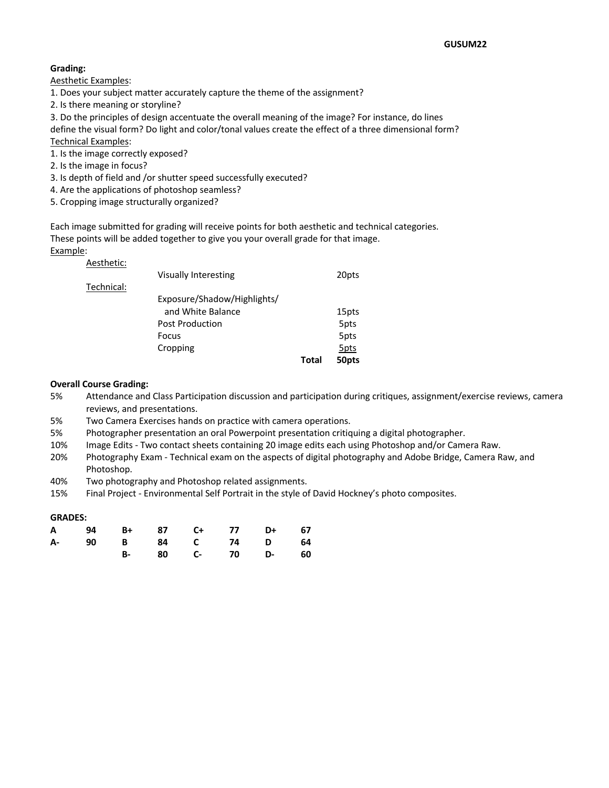## **Grading:**

Aesthetic Examples:

- 1. Does your subject matter accurately capture the theme of the assignment?
- 2. Is there meaning or storyline?
- 3. Do the principles of design accentuate the overall meaning of the image? For instance, do lines

define the visual form? Do light and color/tonal values create the effect of a three dimensional form? Technical Examples:

- 1. Is the image correctly exposed?
- 2. Is the image in focus?
- 3. Is depth of field and /or shutter speed successfully executed?
- 4. Are the applications of photoshop seamless?
- 5. Cropping image structurally organized?

Each image submitted for grading will receive points for both aesthetic and technical categories. These points will be added together to give you your overall grade for that image. Example:

## Aesthetic:

| Total | 50pts |
|-------|-------|
|       | 5pts  |
|       | 5pts  |
|       | 5pts  |
|       | 15pts |
|       |       |
|       |       |
|       | 20pts |
|       |       |

## **Overall Course Grading:**

- 5% Attendance and Class Participation discussion and participation during critiques, assignment/exercise reviews, camera reviews, and presentations.
- 5% Two Camera Exercises hands on practice with camera operations.
- 5% Photographer presentation an oral Powerpoint presentation critiquing a digital photographer.
- 10% Image Edits Two contact sheets containing 20 image edits each using Photoshop and/or Camera Raw.
- 20% Photography Exam Technical exam on the aspects of digital photography and Adobe Bridge, Camera Raw, and Photoshop.
- 40% Two photography and Photoshop related assignments.
- 15% Final Project Environmental Self Portrait in the style of David Hockney's photo composites.

## **GRADES:**

|  |  |  | A 94 B+ 87 C+ 77 D+ 67 |  |
|--|--|--|------------------------|--|
|  |  |  | A- 90 B 84 C 74 D 64   |  |
|  |  |  | B- 80 C- 70 D- 60      |  |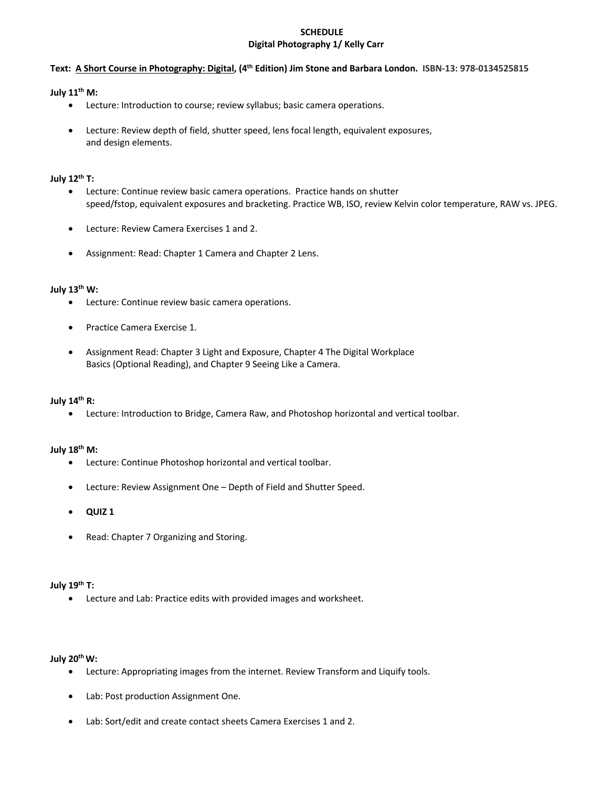# **SCHEDULE Digital Photography 1/ Kelly Carr**

## **Text: A Short Course in Photography: Digital, (4th Edition) Jim Stone and Barbara London. ISBN-13: 978-0134525815**

## **July 11th M:**

- Lecture: Introduction to course; review syllabus; basic camera operations.
- Lecture: Review depth of field, shutter speed, lens focal length, equivalent exposures, and design elements.

### **July 12th T:**

- Lecture: Continue review basic camera operations. Practice hands on shutter speed/fstop, equivalent exposures and bracketing. Practice WB, ISO, review Kelvin color temperature, RAW vs. JPEG.
- Lecture: Review Camera Exercises 1 and 2.
- Assignment: Read: Chapter 1 Camera and Chapter 2 Lens.

## **July 13th W:**

- Lecture: Continue review basic camera operations.
- Practice Camera Exercise 1.
- Assignment Read: Chapter 3 Light and Exposure, Chapter 4 The Digital Workplace Basics (Optional Reading), and Chapter 9 Seeing Like a Camera.

## **July 14th R:**

• Lecture: Introduction to Bridge, Camera Raw, and Photoshop horizontal and vertical toolbar.

## **July 18th M:**

- Lecture: Continue Photoshop horizontal and vertical toolbar.
- Lecture: Review Assignment One Depth of Field and Shutter Speed.
- **QUIZ 1**
- Read: Chapter 7 Organizing and Storing.

## **July 19th T:**

• Lecture and Lab: Practice edits with provided images and worksheet.

## **July 20thW:**

- Lecture: Appropriating images from the internet. Review Transform and Liquify tools.
- Lab: Post production Assignment One.
- Lab: Sort/edit and create contact sheets Camera Exercises 1 and 2.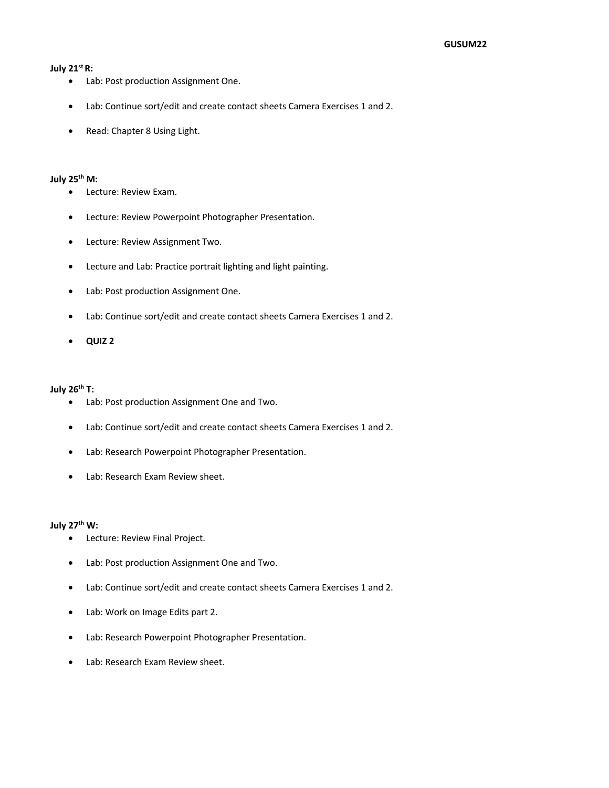#### **July 21st R:**

- Lab: Post production Assignment One.
- Lab: Continue sort/edit and create contact sheets Camera Exercises 1 and 2.
- Read: Chapter 8 Using Light.

#### **July 25th M:**

- Lecture: Review Exam.
- Lecture: Review Powerpoint Photographer Presentation.
- Lecture: Review Assignment Two.
- Lecture and Lab: Practice portrait lighting and light painting.
- Lab: Post production Assignment One.
- Lab: Continue sort/edit and create contact sheets Camera Exercises 1 and 2.
- **QUIZ 2**

#### **July 26th T:**

- Lab: Post production Assignment One and Two.
- Lab: Continue sort/edit and create contact sheets Camera Exercises 1 and 2.
- Lab: Research Powerpoint Photographer Presentation.
- Lab: Research Exam Review sheet.

#### **July 27th W:**

- Lecture: Review Final Project.
- Lab: Post production Assignment One and Two.
- Lab: Continue sort/edit and create contact sheets Camera Exercises 1 and 2.
- Lab: Work on Image Edits part 2.
- Lab: Research Powerpoint Photographer Presentation.
- Lab: Research Exam Review sheet.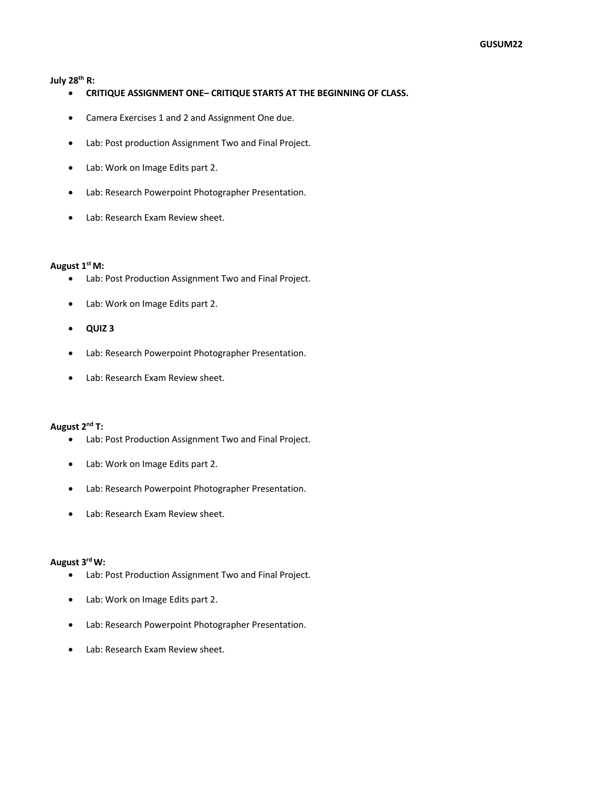#### **July 28th R:**

- **CRITIQUE ASSIGNMENT ONE– CRITIQUE STARTS AT THE BEGINNING OF CLASS.**
- Camera Exercises 1 and 2 and Assignment One due.
- Lab: Post production Assignment Two and Final Project.
- Lab: Work on Image Edits part 2.
- Lab: Research Powerpoint Photographer Presentation.
- Lab: Research Exam Review sheet.

#### **August 1st M:**

- Lab: Post Production Assignment Two and Final Project.
- Lab: Work on Image Edits part 2.
- **QUIZ 3**
- Lab: Research Powerpoint Photographer Presentation.
- Lab: Research Exam Review sheet.

## **August 2nd T:**

- Lab: Post Production Assignment Two and Final Project.
- Lab: Work on Image Edits part 2.
- Lab: Research Powerpoint Photographer Presentation.
- Lab: Research Exam Review sheet.

#### **August 3rdW:**

- Lab: Post Production Assignment Two and Final Project.
- Lab: Work on Image Edits part 2.
- Lab: Research Powerpoint Photographer Presentation.
- Lab: Research Exam Review sheet.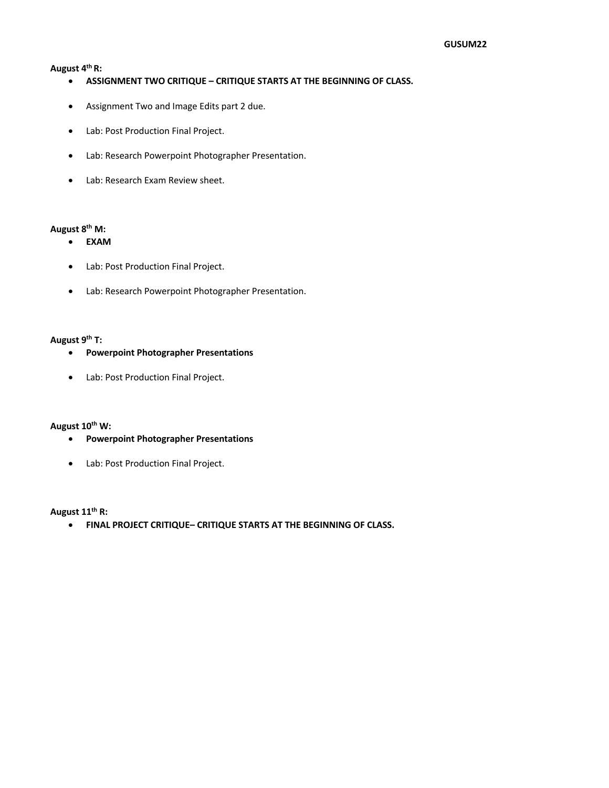#### **August 4th R:**

- **ASSIGNMENT TWO CRITIQUE – CRITIQUE STARTS AT THE BEGINNING OF CLASS.**
- Assignment Two and Image Edits part 2 due.
- Lab: Post Production Final Project.
- Lab: Research Powerpoint Photographer Presentation.
- Lab: Research Exam Review sheet.

## **August 8th M:**

- **EXAM**
- Lab: Post Production Final Project.
- Lab: Research Powerpoint Photographer Presentation.

### **August 9th T:**

- **Powerpoint Photographer Presentations**
- Lab: Post Production Final Project.

#### **August 10th W:**

- **Powerpoint Photographer Presentations**
- Lab: Post Production Final Project.

## **August 11th R:**

• **FINAL PROJECT CRITIQUE– CRITIQUE STARTS AT THE BEGINNING OF CLASS.**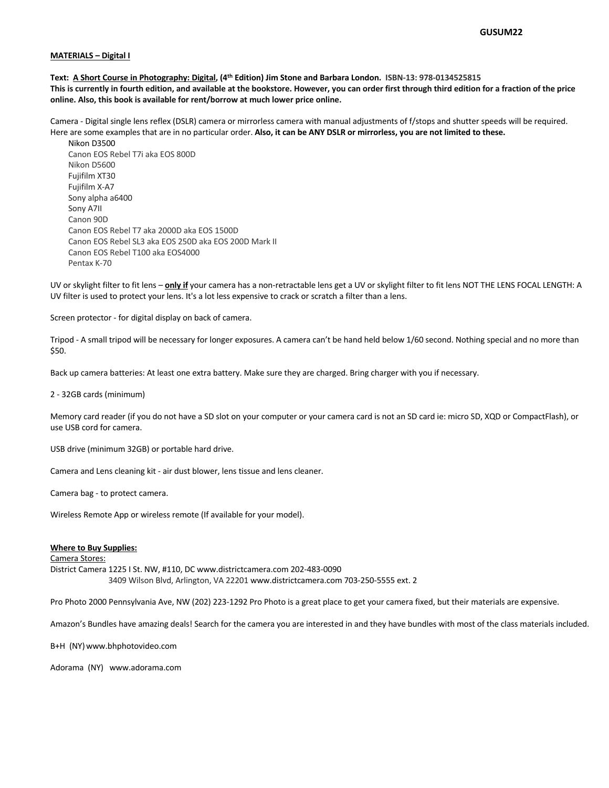#### **MATERIALS – Digital I**

**Text: A Short Course in Photography: Digital, (4th Edition) Jim Stone and Barbara London. ISBN-13: 978-0134525815 This is currently in fourth edition, and available at the bookstore. However, you can order first through third edition for a fraction of the price online. Also, this book is available for rent/borrow at much lower price online.**

Camera - Digital single lens reflex (DSLR) camera or mirrorless camera with manual adjustments of f/stops and shutter speeds will be required. Here are some examples that are in no particular order. **Also, it can be ANY DSLR or mirrorless, you are not limited to these.**

Nikon D3500 Canon EOS Rebel T7i aka EOS 800D Nikon D5600 Fujifilm XT30 Fujifilm X-A7 Sony alpha a6400 Sony A7II Canon 90D Canon EOS Rebel T7 aka 2000D aka EOS 1500D Canon EOS Rebel SL3 aka EOS 250D aka EOS 200D Mark II Canon EOS Rebel T100 aka EOS4000 Pentax K-70

UV or skylight filter to fit lens – **only if** your camera has a non-retractable lens get a UV or skylight filter to fit lens NOT THE LENS FOCAL LENGTH: A UV filter is used to protect your lens. It's a lot less expensive to crack or scratch a filter than a lens.

Screen protector - for digital display on back of camera.

Tripod - A small tripod will be necessary for longer exposures. A camera can't be hand held below 1/60 second. Nothing special and no more than \$50.

Back up camera batteries: At least one extra battery. Make sure they are charged. Bring charger with you if necessary.

2 - 32GB cards (minimum)

Memory card reader (if you do not have a SD slot on your computer or your camera card is not an SD card ie: micro SD, XQD or CompactFlash), or use USB cord for camera.

USB drive (minimum 32GB) or portable hard drive.

Camera and Lens cleaning kit - air dust blower, lens tissue and lens cleaner.

Camera bag - to protect camera.

Wireless Remote App or wireless remote (If available for your model).

#### **Where to Buy Supplies:**

Camera Stores:

District Camera 1225 I St. NW, #110, DC www.districtcamera.com 202-483-0090 3409 Wilson Blvd, Arlington, VA 22201 www.districtcamera.com 703-250-5555 ext. 2

Pro Photo 2000 Pennsylvania Ave, NW (202) 223-1292 Pro Photo is a great place to get your camera fixed, but their materials are expensive.

Amazon's Bundles have amazing deals! Search for the camera you are interested in and they have bundles with most of the class materials included.

B+H (NY)www.bhphotovideo.com

Adorama (NY) www.adorama.com